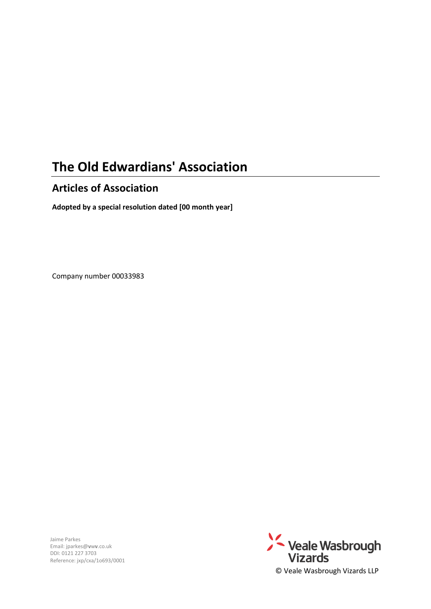# **The Old Edwardians' Association**

# **Articles of Association**

**Adopted by a special resolution dated [00 month year]**

Company number 00033983

Jaime Parkes Email: jparkes@**v**w**v**.co.uk DDI: 0121 227 3703 Reference: jxp/cxa/1o693/0001

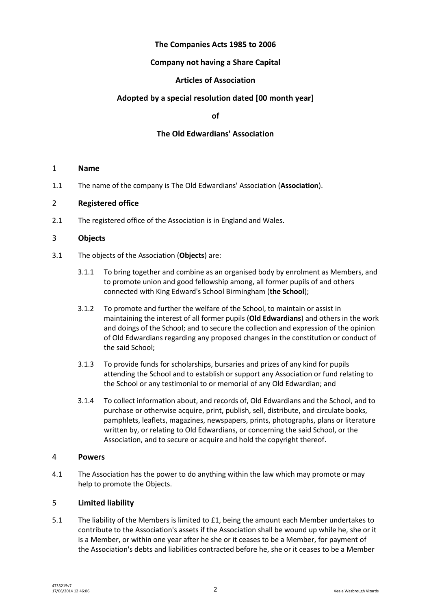# **The Companies Acts 1985 to 2006**

# **Company not having a Share Capital**

# **Articles of Association**

# **Adopted by a special resolution dated [00 month year]**

**of**

# **The Old Edwardians' Association**

#### 1 **Name**

1.1 The name of the company is The Old Edwardians' Association (**Association**).

### 2 **Registered office**

2.1 The registered office of the Association is in England and Wales.

### 3 **Objects**

- <span id="page-1-2"></span><span id="page-1-1"></span><span id="page-1-0"></span>3.1 The objects of the Association (**Objects**) are:
	- 3.1.1 To bring together and combine as an organised body by enrolment as Members, and to promote union and good fellowship among, all former pupils of and others connected with King Edward's School Birmingham (**the School**);
	- 3.1.2 To promote and further the welfare of the School, to maintain or assist in maintaining the interest of all former pupils (**Old Edwardians**) and others in the work and doings of the School; and to secure the collection and expression of the opinion of Old Edwardians regarding any proposed changes in the constitution or conduct of the said School;
	- 3.1.3 To provide funds for scholarships, bursaries and prizes of any kind for pupils attending the School and to establish or support any Association or fund relating to the School or any testimonial to or memorial of any Old Edwardian; and
	- 3.1.4 To collect information about, and records of, Old Edwardians and the School, and to purchase or otherwise acquire, print, publish, sell, distribute, and circulate books, pamphlets, leaflets, magazines, newspapers, prints, photographs, plans or literature written by, or relating to Old Edwardians, or concerning the said School, or the Association, and to secure or acquire and hold the copyright thereof.

# 4 **Powers**

4.1 The Association has the power to do anything within the law which may promote or may help to promote the Objects.

# 5 **Limited liability**

5.1 The liability of the Members is limited to £1, being the amount each Member undertakes to contribute to the Association's assets if the Association shall be wound up while he, she or it is a Member, or within one year after he she or it ceases to be a Member, for payment of the Association's debts and liabilities contracted before he, she or it ceases to be a Member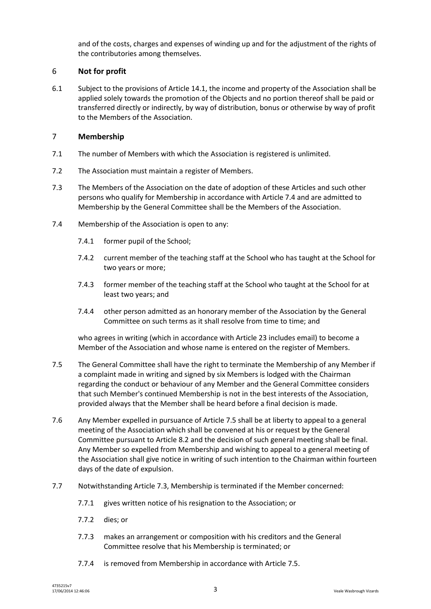and of the costs, charges and expenses of winding up and for the adjustment of the rights of the contributories among themselves.

# 6 **Not for profit**

<span id="page-2-3"></span>6.1 Subject to the provisions of Article [14.1,](#page-8-0) the income and property of the Association shall be applied solely towards the promotion of the Objects and no portion thereof shall be paid or transferred directly or indirectly, by way of distribution, bonus or otherwise by way of profit to the Members of the Association.

### 7 **Membership**

- 7.1 The number of Members with which the Association is registered is unlimited.
- 7.2 The Association must maintain a register of Members.
- <span id="page-2-2"></span>7.3 The Members of the Association on the date of adoption of these Articles and such other persons who qualify for Membership in accordance with Article [7.4](#page-2-0) and are admitted to Membership by the General Committee shall be the Members of the Association.
- <span id="page-2-0"></span>7.4 Membership of the Association is open to any:
	- 7.4.1 former pupil of the School;
	- 7.4.2 current member of the teaching staff at the School who has taught at the School for two years or more;
	- 7.4.3 former member of the teaching staff at the School who taught at the School for at least two years; and
	- 7.4.4 other person admitted as an honorary member of the Association by the General Committee on such terms as it shall resolve from time to time; and

who agrees in writing (which in accordance with Article [23](#page-11-0) includes email) to become a Member of the Association and whose name is entered on the register of Members.

- <span id="page-2-1"></span>7.5 The General Committee shall have the right to terminate the Membership of any Member if a complaint made in writing and signed by six Members is lodged with the Chairman regarding the conduct or behaviour of any Member and the General Committee considers that such Member's continued Membership is not in the best interests of the Association, provided always that the Member shall be heard before a final decision is made.
- 7.6 Any Member expelled in pursuance of Articl[e 7.5](#page-2-1) shall be at liberty to appeal to a general meeting of the Association which shall be convened at his or request by the General Committee pursuant to Article [8.2](#page-3-0) and the decision of such general meeting shall be final. Any Member so expelled from Membership and wishing to appeal to a general meeting of the Association shall give notice in writing of such intention to the Chairman within fourteen days of the date of expulsion.
- 7.7 Notwithstanding Article [7.3,](#page-2-2) Membership is terminated if the Member concerned:
	- 7.7.1 gives written notice of his resignation to the Association; or
	- 7.7.2 dies; or
	- 7.7.3 makes an arrangement or composition with his creditors and the General Committee resolve that his Membership is terminated; or
	- 7.7.4 is removed from Membership in accordance with Article [7.5.](#page-2-1)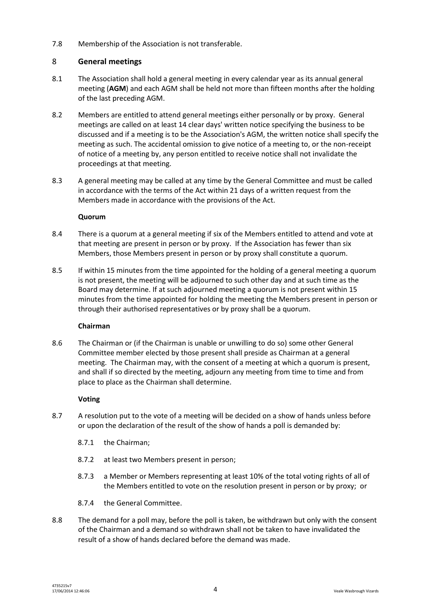7.8 Membership of the Association is not transferable.

# 8 **General meetings**

- <span id="page-3-1"></span>8.1 The Association shall hold a general meeting in every calendar year as its annual general meeting (**AGM**) and each AGM shall be held not more than fifteen months after the holding of the last preceding AGM.
- <span id="page-3-0"></span>8.2 Members are entitled to attend general meetings either personally or by proxy. General meetings are called on at least 14 clear days' written notice specifying the business to be discussed and if a meeting is to be the Association's AGM, the written notice shall specify the meeting as such. The accidental omission to give notice of a meeting to, or the non-receipt of notice of a meeting by, any person entitled to receive notice shall not invalidate the proceedings at that meeting.
- 8.3 A general meeting may be called at any time by the General Committee and must be called in accordance with the terms of the Act within 21 days of a written request from the Members made in accordance with the provisions of the Act.

### **Quorum**

- 8.4 There is a quorum at a general meeting if six of the Members entitled to attend and vote at that meeting are present in person or by proxy. If the Association has fewer than six Members, those Members present in person or by proxy shall constitute a quorum.
- 8.5 If within 15 minutes from the time appointed for the holding of a general meeting a quorum is not present, the meeting will be adjourned to such other day and at such time as the Board may determine. If at such adjourned meeting a quorum is not present within 15 minutes from the time appointed for holding the meeting the Members present in person or through their authorised representatives or by proxy shall be a quorum.

# **Chairman**

8.6 The Chairman or (if the Chairman is unable or unwilling to do so) some other General Committee member elected by those present shall preside as Chairman at a general meeting. The Chairman may, with the consent of a meeting at which a quorum is present, and shall if so directed by the meeting, adjourn any meeting from time to time and from place to place as the Chairman shall determine.

# **Voting**

- 8.7 A resolution put to the vote of a meeting will be decided on a show of hands unless before or upon the declaration of the result of the show of hands a poll is demanded by:
	- 8.7.1 the Chairman;
	- 8.7.2 at least two Members present in person;
	- 8.7.3 a Member or Members representing at least 10% of the total voting rights of all of the Members entitled to vote on the resolution present in person or by proxy; or
	- 8.7.4 the General Committee.
- 8.8 The demand for a poll may, before the poll is taken, be withdrawn but only with the consent of the Chairman and a demand so withdrawn shall not be taken to have invalidated the result of a show of hands declared before the demand was made.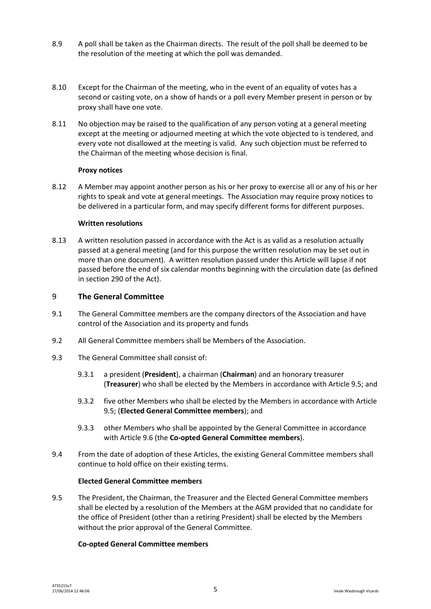- 8.9 A poll shall be taken as the Chairman directs. The result of the poll shall be deemed to be the resolution of the meeting at which the poll was demanded.
- 8.10 Except for the Chairman of the meeting, who in the event of an equality of votes has a second or casting vote, on a show of hands or a poll every Member present in person or by proxy shall have one vote.
- 8.11 No objection may be raised to the qualification of any person voting at a general meeting except at the meeting or adjourned meeting at which the vote objected to is tendered, and every vote not disallowed at the meeting is valid. Any such objection must be referred to the Chairman of the meeting whose decision is final.

#### **Proxy notices**

<span id="page-4-4"></span>8.12 A Member may appoint another person as his or her proxy to exercise all or any of his or her rights to speak and vote at general meetings. The Association may require proxy notices to be delivered in a particular form, and may specify different forms for different purposes.

### **Written resolutions**

8.13 A written resolution passed in accordance with the Act is as valid as a resolution actually passed at a general meeting (and for this purpose the written resolution may be set out in more than one document). A written resolution passed under this Article will lapse if not passed before the end of six calendar months beginning with the circulation date (as defined in section 290 of the Act).

### 9 **The General Committee**

- 9.1 The General Committee members are the company directors of the Association and have control of the Association and its property and funds
- 9.2 All General Committee members shall be Members of the Association.
- <span id="page-4-3"></span><span id="page-4-1"></span>9.3 The General Committee shall consist of:
	- 9.3.1 a president (**President**), a chairman (**Chairman**) and an honorary treasurer (**Treasurer**) who shall be elected by the Members in accordance with Article [9.5;](#page-4-0) and
	- 9.3.2 five other Members who shall be elected by the Members in accordance with Article [9.5;](#page-4-0) (**Elected General Committee members**); and
	- 9.3.3 other Members who shall be appointed by the General Committee in accordance with Article [9.6](#page-5-0) (the **Co-opted General Committee members**).
- <span id="page-4-2"></span>9.4 From the date of adoption of these Articles, the existing General Committee members shall continue to hold office on their existing terms.

#### **Elected General Committee members**

<span id="page-4-0"></span>9.5 The President, the Chairman, the Treasurer and the Elected General Committee members shall be elected by a resolution of the Members at the AGM provided that no candidate for the office of President (other than a retiring President) shall be elected by the Members without the prior approval of the General Committee.

# **Co-opted General Committee members**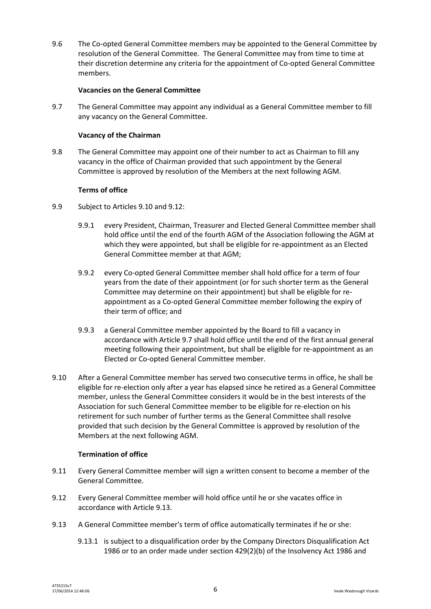<span id="page-5-0"></span>9.6 The Co-opted General Committee members may be appointed to the General Committee by resolution of the General Committee. The General Committee may from time to time at their discretion determine any criteria for the appointment of Co-opted General Committee members.

#### **Vacancies on the General Committee**

<span id="page-5-3"></span>9.7 The General Committee may appoint any individual as a General Committee member to fill any vacancy on the General Committee.

#### **Vacancy of the Chairman**

9.8 The General Committee may appoint one of their number to act as Chairman to fill any vacancy in the office of Chairman provided that such appointment by the General Committee is approved by resolution of the Members at the next following AGM.

#### **Terms of office**

- 9.9 Subject to Article[s 9.10](#page-5-1) an[d 9.12:](#page-5-2)
	- 9.9.1 every President, Chairman, Treasurer and Elected General Committee member shall hold office until the end of the fourth AGM of the Association following the AGM at which they were appointed, but shall be eligible for re-appointment as an Elected General Committee member at that AGM;
	- 9.9.2 every Co-opted General Committee member shall hold office for a term of four years from the date of their appointment (or for such shorter term as the General Committee may determine on their appointment) but shall be eligible for reappointment as a Co-opted General Committee member following the expiry of their term of office; and
	- 9.9.3 a General Committee member appointed by the Board to fill a vacancy in accordance with Articl[e 9.7](#page-5-3) shall hold office until the end of the first annual general meeting following their appointment, but shall be eligible for re-appointment as an Elected or Co-opted General Committee member.
- <span id="page-5-1"></span>9.10 After a General Committee member has served two consecutive terms in office, he shall be eligible for re-election only after a year has elapsed since he retired as a General Committee member, unless the General Committee considers it would be in the best interests of the Association for such General Committee member to be eligible for re-election on his retirement for such number of further terms as the General Committee shall resolve provided that such decision by the General Committee is approved by resolution of the Members at the next following AGM.

#### **Termination of office**

- 9.11 Every General Committee member will sign a written consent to become a member of the General Committee.
- <span id="page-5-2"></span>9.12 Every General Committee member will hold office until he or she vacates office in accordance with Articl[e 9.13.](#page-5-4)
- <span id="page-5-4"></span>9.13 A General Committee member's term of office automatically terminates if he or she:
	- 9.13.1 is subject to a disqualification order by the Company Directors Disqualification Act 1986 or to an order made under section 429(2)(b) of the Insolvency Act 1986 and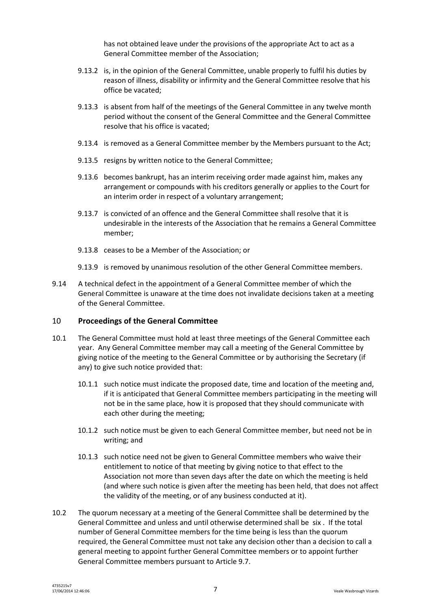has not obtained leave under the provisions of the appropriate Act to act as a General Committee member of the Association;

- 9.13.2 is, in the opinion of the General Committee, unable properly to fulfil his duties by reason of illness, disability or infirmity and the General Committee resolve that his office be vacated;
- 9.13.3 is absent from half of the meetings of the General Committee in any twelve month period without the consent of the General Committee and the General Committee resolve that his office is vacated;
- 9.13.4 is removed as a General Committee member by the Members pursuant to the Act;
- 9.13.5 resigns by written notice to the General Committee;
- 9.13.6 becomes bankrupt, has an interim receiving order made against him, makes any arrangement or compounds with his creditors generally or applies to the Court for an interim order in respect of a voluntary arrangement;
- 9.13.7 is convicted of an offence and the General Committee shall resolve that it is undesirable in the interests of the Association that he remains a General Committee member;
- 9.13.8 ceases to be a Member of the Association; or
- 9.13.9 is removed by unanimous resolution of the other General Committee members.
- 9.14 A technical defect in the appointment of a General Committee member of which the General Committee is unaware at the time does not invalidate decisions taken at a meeting of the General Committee.

#### 10 **Proceedings of the General Committee**

- 10.1 The General Committee must hold at least three meetings of the General Committee each year. Any General Committee member may call a meeting of the General Committee by giving notice of the meeting to the General Committee or by authorising the Secretary (if any) to give such notice provided that:
	- 10.1.1 such notice must indicate the proposed date, time and location of the meeting and, if it is anticipated that General Committee members participating in the meeting will not be in the same place, how it is proposed that they should communicate with each other during the meeting;
	- 10.1.2 such notice must be given to each General Committee member, but need not be in writing; and
	- 10.1.3 such notice need not be given to General Committee members who waive their entitlement to notice of that meeting by giving notice to that effect to the Association not more than seven days after the date on which the meeting is held (and where such notice is given after the meeting has been held, that does not affect the validity of the meeting, or of any business conducted at it).
- 10.2 The quorum necessary at a meeting of the General Committee shall be determined by the General Committee and unless and until otherwise determined shall be six . If the total number of General Committee members for the time being is less than the quorum required, the General Committee must not take any decision other than a decision to call a general meeting to appoint further General Committee members or to appoint further General Committee members pursuant to Articl[e 9.7.](#page-5-3)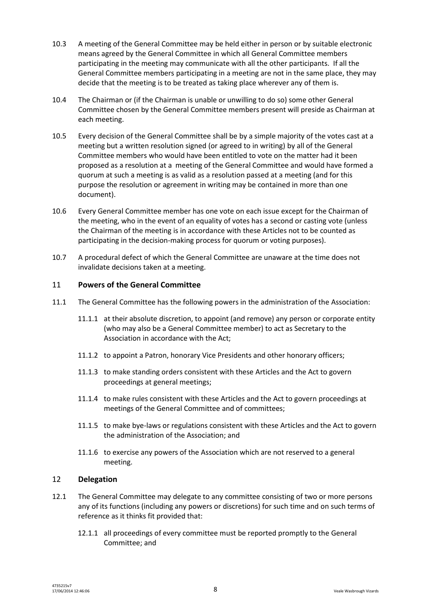- 10.3 A meeting of the General Committee may be held either in person or by suitable electronic means agreed by the General Committee in which all General Committee members participating in the meeting may communicate with all the other participants. If all the General Committee members participating in a meeting are not in the same place, they may decide that the meeting is to be treated as taking place wherever any of them is.
- 10.4 The Chairman or (if the Chairman is unable or unwilling to do so) some other General Committee chosen by the General Committee members present will preside as Chairman at each meeting.
- 10.5 Every decision of the General Committee shall be by a simple majority of the votes cast at a meeting but a written resolution signed (or agreed to in writing) by all of the General Committee members who would have been entitled to vote on the matter had it been proposed as a resolution at a meeting of the General Committee and would have formed a quorum at such a meeting is as valid as a resolution passed at a meeting (and for this purpose the resolution or agreement in writing may be contained in more than one document).
- 10.6 Every General Committee member has one vote on each issue except for the Chairman of the meeting, who in the event of an equality of votes has a second or casting vote (unless the Chairman of the meeting is in accordance with these Articles not to be counted as participating in the decision-making process for quorum or voting purposes).
- 10.7 A procedural defect of which the General Committee are unaware at the time does not invalidate decisions taken at a meeting.

### 11 **Powers of the General Committee**

- 11.1 The General Committee has the following powers in the administration of the Association:
	- 11.1.1 at their absolute discretion, to appoint (and remove) any person or corporate entity (who may also be a General Committee member) to act as Secretary to the Association in accordance with the Act;
	- 11.1.2 to appoint a Patron, honorary Vice Presidents and other honorary officers;
	- 11.1.3 to make standing orders consistent with these Articles and the Act to govern proceedings at general meetings;
	- 11.1.4 to make rules consistent with these Articles and the Act to govern proceedings at meetings of the General Committee and of committees;
	- 11.1.5 to make bye-laws or regulations consistent with these Articles and the Act to govern the administration of the Association; and
	- 11.1.6 to exercise any powers of the Association which are not reserved to a general meeting.

#### 12 **Delegation**

- 12.1 The General Committee may delegate to any committee consisting of two or more persons any of its functions (including any powers or discretions) for such time and on such terms of reference as it thinks fit provided that:
	- 12.1.1 all proceedings of every committee must be reported promptly to the General Committee; and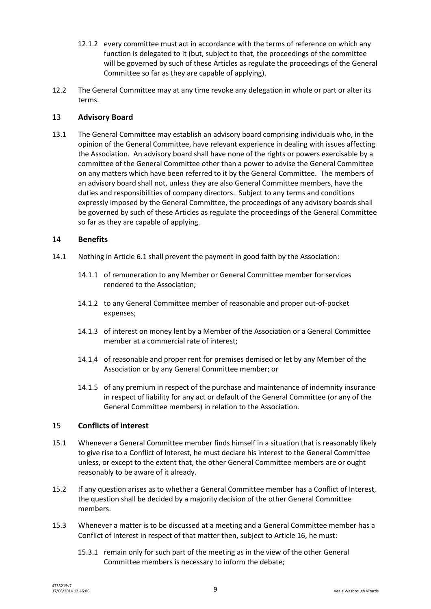- 12.1.2 every committee must act in accordance with the terms of reference on which any function is delegated to it (but, subject to that, the proceedings of the committee will be governed by such of these Articles as regulate the proceedings of the General Committee so far as they are capable of applying).
- 12.2 The General Committee may at any time revoke any delegation in whole or part or alter its terms.

# 13 **Advisory Board**

13.1 The General Committee may establish an advisory board comprising individuals who, in the opinion of the General Committee, have relevant experience in dealing with issues affecting the Association. An advisory board shall have none of the rights or powers exercisable by a committee of the General Committee other than a power to advise the General Committee on any matters which have been referred to it by the General Committee. The members of an advisory board shall not, unless they are also General Committee members, have the duties and responsibilities of company directors. Subject to any terms and conditions expressly imposed by the General Committee, the proceedings of any advisory boards shall be governed by such of these Articles as regulate the proceedings of the General Committee so far as they are capable of applying.

### 14 **Benefits**

- <span id="page-8-0"></span>14.1 Nothing in Articl[e 6.1](#page-2-3) shall prevent the payment in good faith by the Association:
	- 14.1.1 of remuneration to any Member or General Committee member for services rendered to the Association;
	- 14.1.2 to any General Committee member of reasonable and proper out-of-pocket expenses;
	- 14.1.3 of interest on money lent by a Member of the Association or a General Committee member at a commercial rate of interest;
	- 14.1.4 of reasonable and proper rent for premises demised or let by any Member of the Association or by any General Committee member; or
	- 14.1.5 of any premium in respect of the purchase and maintenance of indemnity insurance in respect of liability for any act or default of the General Committee (or any of the General Committee members) in relation to the Association.

# 15 **Conflicts of interest**

- 15.1 Whenever a General Committee member finds himself in a situation that is reasonably likely to give rise to a Conflict of Interest, he must declare his interest to the General Committee unless, or except to the extent that, the other General Committee members are or ought reasonably to be aware of it already.
- 15.2 If any question arises as to whether a General Committee member has a Conflict of Interest, the question shall be decided by a majority decision of the other General Committee members.
- <span id="page-8-1"></span>15.3 Whenever a matter is to be discussed at a meeting and a General Committee member has a Conflict of Interest in respect of that matter then, subject to Article [16,](#page-9-0) he must:
	- 15.3.1 remain only for such part of the meeting as in the view of the other General Committee members is necessary to inform the debate;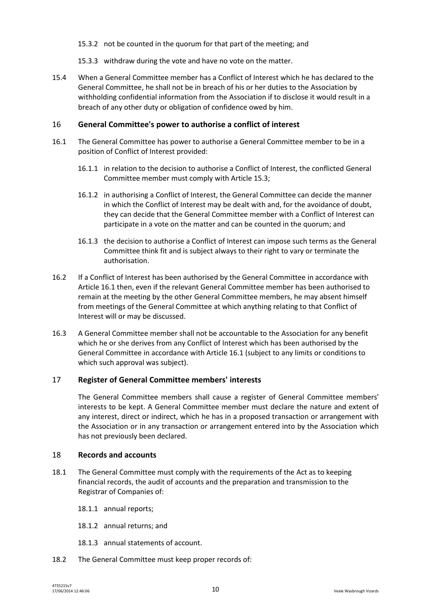- 15.3.2 not be counted in the quorum for that part of the meeting; and
- 15.3.3 withdraw during the vote and have no vote on the matter.
- 15.4 When a General Committee member has a Conflict of Interest which he has declared to the General Committee, he shall not be in breach of his or her duties to the Association by withholding confidential information from the Association if to disclose it would result in a breach of any other duty or obligation of confidence owed by him.

# <span id="page-9-0"></span>16 **General Committee's power to authorise a conflict of interest**

- <span id="page-9-1"></span>16.1 The General Committee has power to authorise a General Committee member to be in a position of Conflict of Interest provided:
	- 16.1.1 in relation to the decision to authorise a Conflict of Interest, the conflicted General Committee member must comply with Articl[e 15.3;](#page-8-1)
	- 16.1.2 in authorising a Conflict of Interest, the General Committee can decide the manner in which the Conflict of Interest may be dealt with and, for the avoidance of doubt, they can decide that the General Committee member with a Conflict of Interest can participate in a vote on the matter and can be counted in the quorum; and
	- 16.1.3 the decision to authorise a Conflict of Interest can impose such terms as the General Committee think fit and is subject always to their right to vary or terminate the authorisation.
- 16.2 If a Conflict of Interest has been authorised by the General Committee in accordance with Articl[e 16.1](#page-9-1) then, even if the relevant General Committee member has been authorised to remain at the meeting by the other General Committee members, he may absent himself from meetings of the General Committee at which anything relating to that Conflict of Interest will or may be discussed.
- 16.3 A General Committee member shall not be accountable to the Association for any benefit which he or she derives from any Conflict of Interest which has been authorised by the General Committee in accordance with Articl[e 16.1](#page-9-1) (subject to any limits or conditions to which such approval was subject).

#### 17 **Register of General Committee members' interests**

The General Committee members shall cause a register of General Committee members' interests to be kept. A General Committee member must declare the nature and extent of any interest, direct or indirect, which he has in a proposed transaction or arrangement with the Association or in any transaction or arrangement entered into by the Association which has not previously been declared.

#### 18 **Records and accounts**

- 18.1 The General Committee must comply with the requirements of the Act as to keeping financial records, the audit of accounts and the preparation and transmission to the Registrar of Companies of:
	- 18.1.1 annual reports;
	- 18.1.2 annual returns; and
	- 18.1.3 annual statements of account.
- 18.2 The General Committee must keep proper records of: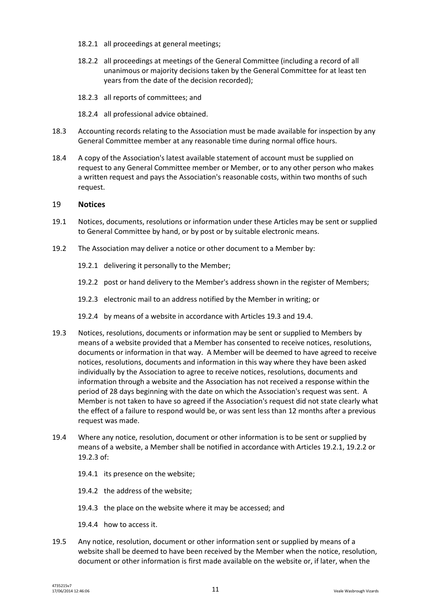- 18.2.1 all proceedings at general meetings;
- 18.2.2 all proceedings at meetings of the General Committee (including a record of all unanimous or majority decisions taken by the General Committee for at least ten years from the date of the decision recorded);
- 18.2.3 all reports of committees; and
- 18.2.4 all professional advice obtained.
- 18.3 Accounting records relating to the Association must be made available for inspection by any General Committee member at any reasonable time during normal office hours.
- 18.4 A copy of the Association's latest available statement of account must be supplied on request to any General Committee member or Member, or to any other person who makes a written request and pays the Association's reasonable costs, within two months of such request.

### 19 **Notices**

- 19.1 Notices, documents, resolutions or information under these Articles may be sent or supplied to General Committee by hand, or by post or by suitable electronic means.
- <span id="page-10-3"></span><span id="page-10-2"></span>19.2 The Association may deliver a notice or other document to a Member by:
	- 19.2.1 delivering it personally to the Member;
	- 19.2.2 post or hand delivery to the Member's address shown in the register of Members;
	- 19.2.3 electronic mail to an address notified by the Member in writing; or
	- 19.2.4 by means of a website in accordance with Article[s 19.3](#page-10-0) and [19.4.](#page-10-1)
- <span id="page-10-4"></span><span id="page-10-0"></span>19.3 Notices, resolutions, documents or information may be sent or supplied to Members by means of a website provided that a Member has consented to receive notices, resolutions, documents or information in that way. A Member will be deemed to have agreed to receive notices, resolutions, documents and information in this way where they have been asked individually by the Association to agree to receive notices, resolutions, documents and information through a website and the Association has not received a response within the period of 28 days beginning with the date on which the Association's request was sent. A Member is not taken to have so agreed if the Association's request did not state clearly what the effect of a failure to respond would be, or was sent less than 12 months after a previous request was made.
- <span id="page-10-1"></span>19.4 Where any notice, resolution, document or other information is to be sent or supplied by means of a website, a Member shall be notified in accordance with Article[s 19.2.1,](#page-10-2) [19.2.2](#page-10-3) or [19.2.3](#page-10-4) of:
	- 19.4.1 its presence on the website;
	- 19.4.2 the address of the website;
	- 19.4.3 the place on the website where it may be accessed; and
	- 19.4.4 how to access it.
- <span id="page-10-5"></span>19.5 Any notice, resolution, document or other information sent or supplied by means of a website shall be deemed to have been received by the Member when the notice, resolution, document or other information is first made available on the website or, if later, when the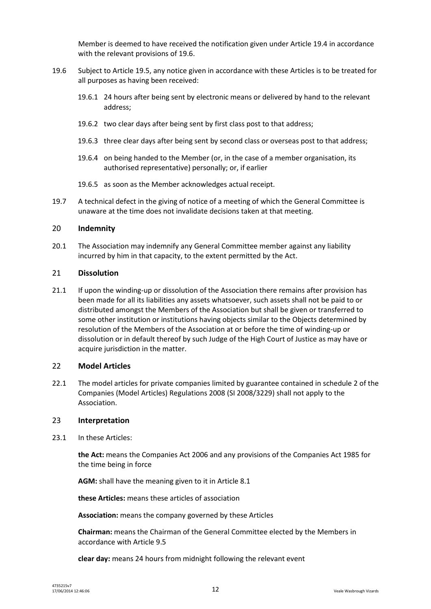Member is deemed to have received the notification given under Article [19.4](#page-10-1) in accordance with the relevant provisions of [19.6.](#page-11-1)

- <span id="page-11-1"></span>19.6 Subject to Article [19.5,](#page-10-5) any notice given in accordance with these Articles is to be treated for all purposes as having been received:
	- 19.6.1 24 hours after being sent by electronic means or delivered by hand to the relevant address;
	- 19.6.2 two clear days after being sent by first class post to that address;
	- 19.6.3 three clear days after being sent by second class or overseas post to that address;
	- 19.6.4 on being handed to the Member (or, in the case of a member organisation, its authorised representative) personally; or, if earlier
	- 19.6.5 as soon as the Member acknowledges actual receipt.
- 19.7 A technical defect in the giving of notice of a meeting of which the General Committee is unaware at the time does not invalidate decisions taken at that meeting.

#### 20 **Indemnity**

20.1 The Association may indemnify any General Committee member against any liability incurred by him in that capacity, to the extent permitted by the Act.

#### 21 **Dissolution**

21.1 If upon the winding-up or dissolution of the Association there remains after provision has been made for all its liabilities any assets whatsoever, such assets shall not be paid to or distributed amongst the Members of the Association but shall be given or transferred to some other institution or institutions having objects similar to the Objects determined by resolution of the Members of the Association at or before the time of winding-up or dissolution or in default thereof by such Judge of the High Court of Justice as may have or acquire jurisdiction in the matter.

#### 22 **Model Articles**

22.1 The model articles for private companies limited by guarantee contained in schedule 2 of the Companies (Model Articles) Regulations 2008 (SI 2008/3229) shall not apply to the Association.

#### <span id="page-11-0"></span>23 **Interpretation**

23.1 In these Articles:

**the Act:** means the Companies Act 2006 and any provisions of the Companies Act 1985 for the time being in force

**AGM:** shall have the meaning given to it in Article [8.1](#page-3-1)

**these Articles:** means these articles of association

**Association:** means the company governed by these Articles

**Chairman:** means the Chairman of the General Committee elected by the Members in accordance with Articl[e 9.5](#page-4-0)

**clear day:** means 24 hours from midnight following the relevant event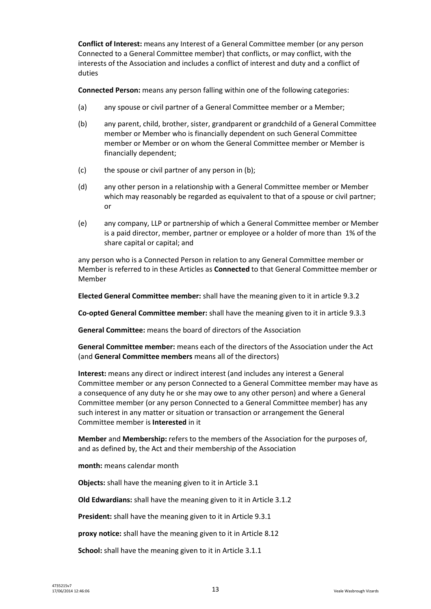**Conflict of Interest:** means any Interest of a General Committee member (or any person Connected to a General Committee member) that conflicts, or may conflict, with the interests of the Association and includes a conflict of interest and duty and a conflict of duties

**Connected Person:** means any person falling within one of the following categories:

- (a) any spouse or civil partner of a General Committee member or a Member;
- (b) any parent, child, brother, sister, grandparent or grandchild of a General Committee member or Member who is financially dependent on such General Committee member or Member or on whom the General Committee member or Member is financially dependent;
- (c) the spouse or civil partner of any person in (b);
- (d) any other person in a relationship with a General Committee member or Member which may reasonably be regarded as equivalent to that of a spouse or civil partner; or
- (e) any company, LLP or partnership of which a General Committee member or Member is a paid director, member, partner or employee or a holder of more than 1% of the share capital or capital; and

any person who is a Connected Person in relation to any General Committee member or Member is referred to in these Articles as **Connected** to that General Committee member or Member

**Elected General Committee member:** shall have the meaning given to it in article [9.3.2](#page-4-1)

**Co-opted General Committee member:** shall have the meaning given to it in article [9.3.3](#page-4-2)

**General Committee:** means the board of directors of the Association

**General Committee member:** means each of the directors of the Association under the Act (and **General Committee members** means all of the directors)

**Interest:** means any direct or indirect interest (and includes any interest a General Committee member or any person Connected to a General Committee member may have as a consequence of any duty he or she may owe to any other person) and where a General Committee member (or any person Connected to a General Committee member) has any such interest in any matter or situation or transaction or arrangement the General Committee member is **Interested** in it

**Member** and **Membership:** refers to the members of the Association for the purposes of, and as defined by, the Act and their membership of the Association

**month:** means calendar month

**Objects:** shall have the meaning given to it in Article [3.1](#page-1-0)

**Old Edwardians:** shall have the meaning given to it in Article [3.1.2](#page-1-1)

**President:** shall have the meaning given to it in Article [9.3.1](#page-4-3)

**proxy notice:** shall have the meaning given to it in Articl[e 8.12](#page-4-4)

**School:** shall have the meaning given to it in Articl[e 3.1.1](#page-1-2)